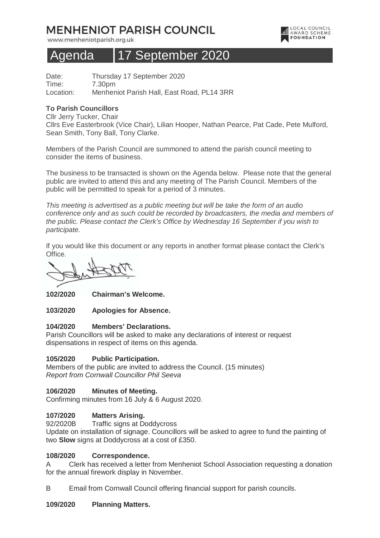# **MENHENIOT PARISH COUNCIL**

www.menheniotparish.org.uk



# Agenda 17 September 2020

Date: Thursday 17 September 2020 Time: 7.30pm Location: Menheniot Parish Hall, East Road, PL14 3RR

# **To Parish Councillors**

Cllr Jerry Tucker, Chair Cllrs Eve Easterbrook (Vice Chair), Lilian Hooper, Nathan Pearce, Pat Cade, Pete Mulford, Sean Smith, Tony Ball, Tony Clarke.

Members of the Parish Council are summoned to attend the parish council meeting to consider the items of business.

The business to be transacted is shown on the Agenda below. Please note that the general public are invited to attend this and any meeting of The Parish Council. Members of the public will be permitted to speak for a period of 3 minutes.

This meeting is advertised as a public meeting but will be take the form of an audio conference only and as such could be recorded by broadcasters, the media and members of the public. Please contact the Clerk's Office by Wednesday 16 September if you wish to participate.

If you would like this document or any reports in another format please contact the Clerk's Office.

**102/2020 Chairman's Welcome.** 

**103/2020 Apologies for Absence.** 

## **104/2020 Members' Declarations.**

Parish Councillors will be asked to make any declarations of interest or request dispensations in respect of items on this agenda.

# **105/2020 Public Participation.**

Members of the public are invited to address the Council. (15 minutes) Report from Cornwall Councillor Phil Seeva

## **106/2020 Minutes of Meeting.**

Confirming minutes from 16 July & 6 August 2020.

## **107/2020 Matters Arising.**

92/2020B Traffic signs at Doddycross

Update on installation of signage. Councillors will be asked to agree to fund the painting of two **Slow** signs at Doddycross at a cost of £350.

## **108/2020 Correspondence.**

A Clerk has received a letter from Menheniot School Association requesting a donation for the annual firework display in November.

B Email from Cornwall Council offering financial support for parish councils.

## **109/2020 Planning Matters.**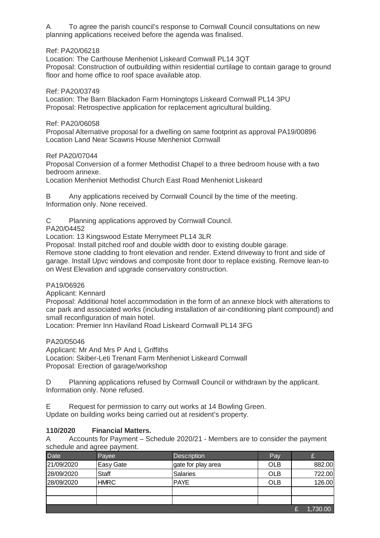A To agree the parish council's response to Cornwall Council consultations on new planning applications received before the agenda was finalised.

## Ref: PA20/06218

Location: The Carthouse Menheniot Liskeard Cornwall PL14 3QT Proposal: Construction of outbuilding within residential curtilage to contain garage to ground floor and home office to roof space available atop.

#### Ref: PA20/03749

Location: The Barn Blackadon Farm Horningtops Liskeard Cornwall PL14 3PU Proposal: Retrospective application for replacement agricultural building.

#### Ref: PA20/06058

Proposal Alternative proposal for a dwelling on same footprint as approval PA19/00896 Location Land Near Scawns House Menheniot Cornwall

#### Ref PA20/07044

Proposal Conversion of a former Methodist Chapel to a three bedroom house with a two bedroom annexe.

Location Menheniot Methodist Church East Road Menheniot Liskeard

B Any applications received by Cornwall Council by the time of the meeting. Information only. None received.

C Planning applications approved by Cornwall Council.

PA20/04452

Location: 13 Kingswood Estate Merrymeet PL14 3LR

Proposal: Install pitched roof and double width door to existing double garage.

Remove stone cladding to front elevation and render. Extend driveway to front and side of garage. Install Upvc windows and composite front door to replace existing. Remove lean-to on West Elevation and upgrade conservatory construction.

#### PA19/06926

Applicant: Kennard

Proposal: Additional hotel accommodation in the form of an annexe block with alterations to car park and associated works (including installation of air-conditioning plant compound) and small reconfiguration of main hotel.

Location: Premier Inn Haviland Road Liskeard Cornwall PL14 3FG

PA20/05046

Applicant: Mr And Mrs P And L Griffiths Location: Skiber-Leti Trenant Farm Menheniot Liskeard Cornwall Proposal: Erection of garage/workshop

D Planning applications refused by Cornwall Council or withdrawn by the applicant. Information only. None refused.

E Request for permission to carry out works at 14 Bowling Green. Update on building works being carried out at resident's property.

## **110/2020 Financial Matters.**

A Accounts for Payment – Schedule 2020/21 - Members are to consider the payment schedule and agree payment.

| <b>Date</b> | Payee            | <b>Description</b> | Pay        |          |
|-------------|------------------|--------------------|------------|----------|
| 21/09/2020  | <b>Easy Gate</b> | gate for play area | <b>OLB</b> | 882.00   |
| 28/09/2020  | <b>Staff</b>     | <b>Salaries</b>    | <b>OLB</b> | 722.00   |
| 28/09/2020  | <b>HMRC</b>      | <b>PAYE</b>        | <b>OLB</b> | 126.00   |
|             |                  |                    |            |          |
|             |                  |                    |            |          |
|             |                  |                    |            | 1,730.00 |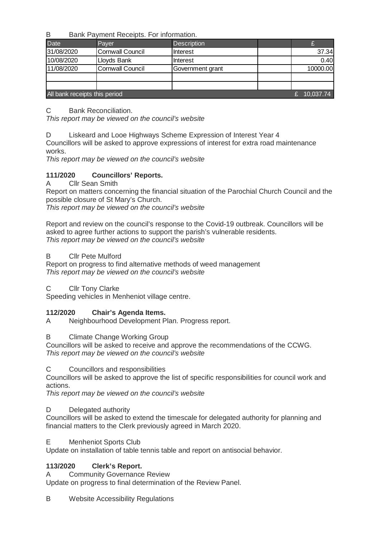B Bank Payment Receipts. For information.

| <b>Date</b>                   | Paver                   | <b>Description</b> |  |          |  |  |
|-------------------------------|-------------------------|--------------------|--|----------|--|--|
| 31/08/2020                    | <b>Cornwall Council</b> | Interest           |  | 37.34    |  |  |
| 10/08/2020                    | Lloyds Bank             | Interest           |  | 0.40     |  |  |
| 11/08/2020                    | Cornwall Council        | Government grant   |  | 10000.00 |  |  |
|                               |                         |                    |  |          |  |  |
|                               |                         |                    |  |          |  |  |
| All bank receipts this period | 10,037.74               |                    |  |          |  |  |

C Bank Reconciliation.

This report may be viewed on the council's website

D Liskeard and Looe Highways Scheme Expression of Interest Year 4

Councillors will be asked to approve expressions of interest for extra road maintenance works.

This report may be viewed on the council's website

# **111/2020 Councillors' Reports.**

A Cllr Sean Smith

Report on matters concerning the financial situation of the Parochial Church Council and the possible closure of St Mary's Church.

This report may be viewed on the council's website

Report and review on the council's response to the Covid-19 outbreak. Councillors will be asked to agree further actions to support the parish's vulnerable residents. This report may be viewed on the council's website

# B Cllr Pete Mulford

Report on progress to find alternative methods of weed management This report may be viewed on the council's website

C Cllr Tony Clarke

Speeding vehicles in Menheniot village centre.

# **112/2020 Chair's Agenda Items.**

A Neighbourhood Development Plan. Progress report.

B Climate Change Working Group

Councillors will be asked to receive and approve the recommendations of the CCWG. This report may be viewed on the council's website

C Councillors and responsibilities

Councillors will be asked to approve the list of specific responsibilities for council work and actions.

This report may be viewed on the council's website

# D Delegated authority

Councillors will be asked to extend the timescale for delegated authority for planning and financial matters to the Clerk previously agreed in March 2020.

E Menheniot Sports Club

Update on installation of table tennis table and report on antisocial behavior.

# **113/2020 Clerk's Report.**

A Community Governance Review

Update on progress to final determination of the Review Panel.

B Website Accessibility Regulations